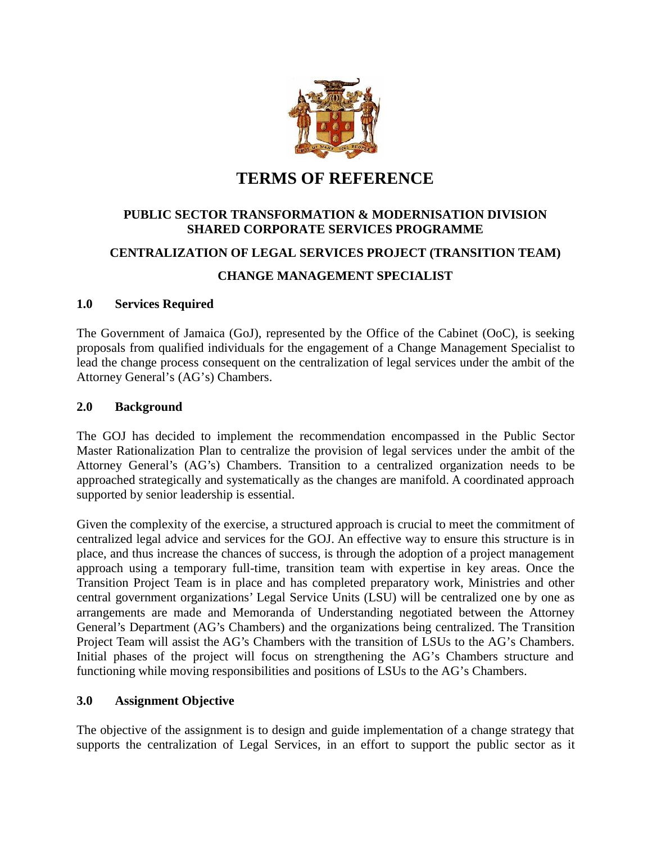

# **TERMS OF REFERENCE**

# **PUBLIC SECTOR TRANSFORMATION & MODERNISATION DIVISION SHARED CORPORATE SERVICES PROGRAMME**

# **CENTRALIZATION OF LEGAL SERVICES PROJECT (TRANSITION TEAM)**

# **CHANGE MANAGEMENT SPECIALIST**

## **1.0 Services Required**

The Government of Jamaica (GoJ), represented by the Office of the Cabinet (OoC), is seeking proposals from qualified individuals for the engagement of a Change Management Specialist to lead the change process consequent on the centralization of legal services under the ambit of the Attorney General's (AG's) Chambers.

## **2.0 Background**

The GOJ has decided to implement the recommendation encompassed in the Public Sector Master Rationalization Plan to centralize the provision of legal services under the ambit of the Attorney General's (AG's) Chambers. Transition to a centralized organization needs to be approached strategically and systematically as the changes are manifold. A coordinated approach supported by senior leadership is essential.

Given the complexity of the exercise, a structured approach is crucial to meet the commitment of centralized legal advice and services for the GOJ. An effective way to ensure this structure is in place, and thus increase the chances of success, is through the adoption of a project management approach using a temporary full-time, transition team with expertise in key areas. Once the Transition Project Team is in place and has completed preparatory work, Ministries and other central government organizations' Legal Service Units (LSU) will be centralized one by one as arrangements are made and Memoranda of Understanding negotiated between the Attorney General's Department (AG's Chambers) and the organizations being centralized. The Transition Project Team will assist the AG's Chambers with the transition of LSUs to the AG's Chambers. Initial phases of the project will focus on strengthening the AG's Chambers structure and functioning while moving responsibilities and positions of LSUs to the AG's Chambers.

## **3.0 Assignment Objective**

The objective of the assignment is to design and guide implementation of a change strategy that supports the centralization of Legal Services, in an effort to support the public sector as it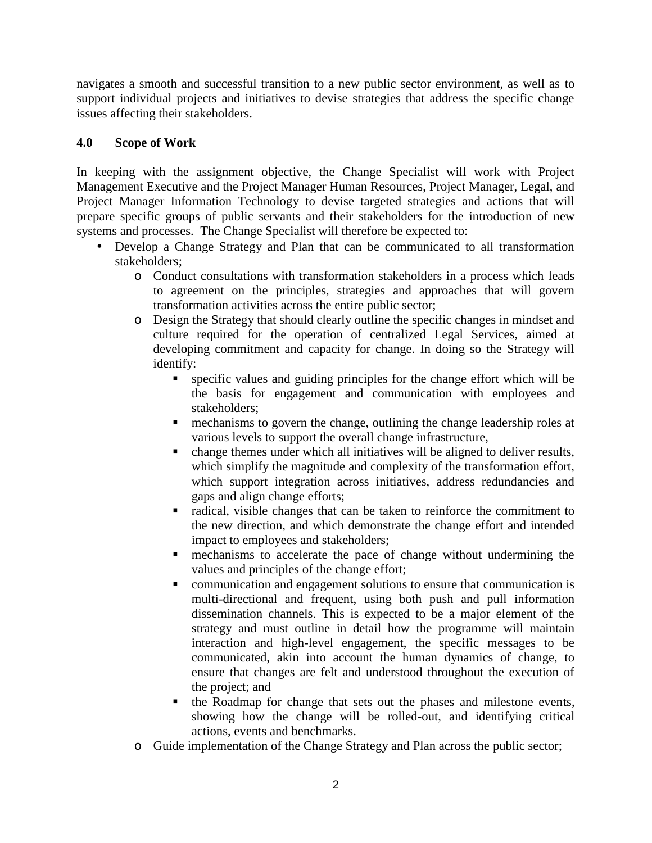navigates a smooth and successful transition to a new public sector environment, as well as to support individual projects and initiatives to devise strategies that address the specific change issues affecting their stakeholders.

#### **4.0 Scope of Work**

In keeping with the assignment objective, the Change Specialist will work with Project Management Executive and the Project Manager Human Resources, Project Manager, Legal, and Project Manager Information Technology to devise targeted strategies and actions that will prepare specific groups of public servants and their stakeholders for the introduction of new systems and processes. The Change Specialist will therefore be expected to:

- Develop a Change Strategy and Plan that can be communicated to all transformation stakeholders;
	- o Conduct consultations with transformation stakeholders in a process which leads to agreement on the principles, strategies and approaches that will govern transformation activities across the entire public sector;
	- o Design the Strategy that should clearly outline the specific changes in mindset and culture required for the operation of centralized Legal Services, aimed at developing commitment and capacity for change. In doing so the Strategy will identify:
		- specific values and guiding principles for the change effort which will be the basis for engagement and communication with employees and stakeholders;
		- **n** mechanisms to govern the change, outlining the change leadership roles at various levels to support the overall change infrastructure,
		- change themes under which all initiatives will be aligned to deliver results, which simplify the magnitude and complexity of the transformation effort, which support integration across initiatives, address redundancies and gaps and align change efforts;
		- radical, visible changes that can be taken to reinforce the commitment to the new direction, and which demonstrate the change effort and intended impact to employees and stakeholders;
		- mechanisms to accelerate the pace of change without undermining the values and principles of the change effort;
		- communication and engagement solutions to ensure that communication is multi-directional and frequent, using both push and pull information dissemination channels. This is expected to be a major element of the strategy and must outline in detail how the programme will maintain interaction and high-level engagement, the specific messages to be communicated, akin into account the human dynamics of change, to ensure that changes are felt and understood throughout the execution of the project; and
		- the Roadmap for change that sets out the phases and milestone events, showing how the change will be rolled-out, and identifying critical actions, events and benchmarks.
	- o Guide implementation of the Change Strategy and Plan across the public sector;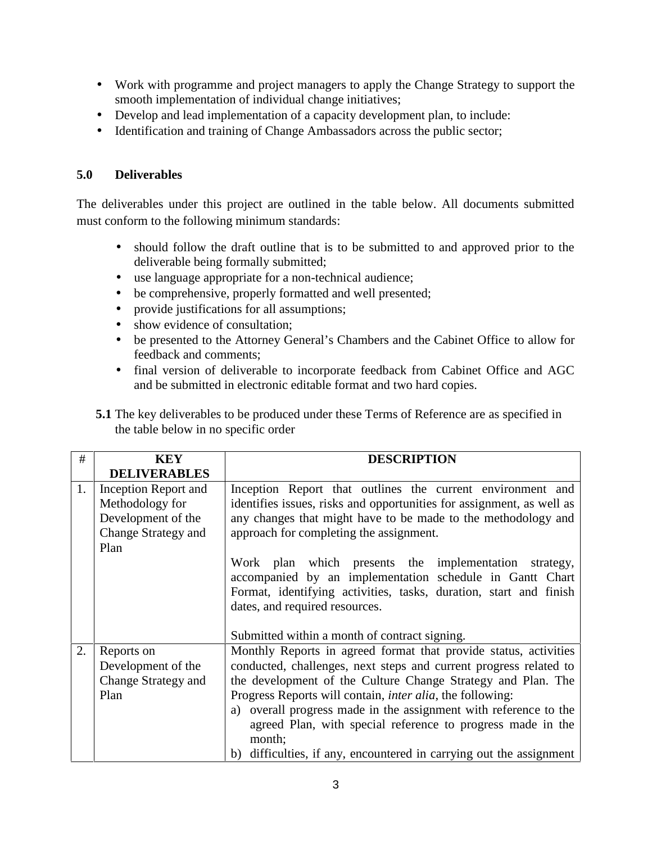- Work with programme and project managers to apply the Change Strategy to support the smooth implementation of individual change initiatives;
- Develop and lead implementation of a capacity development plan, to include:
- Identification and training of Change Ambassadors across the public sector;

# **5.0 Deliverables**

The deliverables under this project are outlined in the table below. All documents submitted must conform to the following minimum standards:

- should follow the draft outline that is to be submitted to and approved prior to the deliverable being formally submitted;
- use language appropriate for a non-technical audience;
- be comprehensive, properly formatted and well presented;
- provide justifications for all assumptions;
- show evidence of consultation;
- be presented to the Attorney General's Chambers and the Cabinet Office to allow for feedback and comments;
- final version of deliverable to incorporate feedback from Cabinet Office and AGC and be submitted in electronic editable format and two hard copies.

| 5.1 The key deliverables to be produced under these Terms of Reference are as specified in |  |
|--------------------------------------------------------------------------------------------|--|
| the table below in no specific order                                                       |  |

| #  | <b>KEY</b>                                                                                   | <b>DESCRIPTION</b>                                                                                                                                                                                                                                                                                                                                                                                                                                                                             |
|----|----------------------------------------------------------------------------------------------|------------------------------------------------------------------------------------------------------------------------------------------------------------------------------------------------------------------------------------------------------------------------------------------------------------------------------------------------------------------------------------------------------------------------------------------------------------------------------------------------|
|    | <b>DELIVERABLES</b>                                                                          |                                                                                                                                                                                                                                                                                                                                                                                                                                                                                                |
| 1. | Inception Report and<br>Methodology for<br>Development of the<br>Change Strategy and<br>Plan | Inception Report that outlines the current environment and<br>identifies issues, risks and opportunities for assignment, as well as<br>any changes that might have to be made to the methodology and<br>approach for completing the assignment.                                                                                                                                                                                                                                                |
|    |                                                                                              | Work plan which presents the implementation strategy,<br>accompanied by an implementation schedule in Gantt Chart<br>Format, identifying activities, tasks, duration, start and finish<br>dates, and required resources.<br>Submitted within a month of contract signing.                                                                                                                                                                                                                      |
| 2. | Reports on<br>Development of the<br>Change Strategy and<br>Plan                              | Monthly Reports in agreed format that provide status, activities<br>conducted, challenges, next steps and current progress related to<br>the development of the Culture Change Strategy and Plan. The<br>Progress Reports will contain, <i>inter alia</i> , the following:<br>a) overall progress made in the assignment with reference to the<br>agreed Plan, with special reference to progress made in the<br>month;<br>b) difficulties, if any, encountered in carrying out the assignment |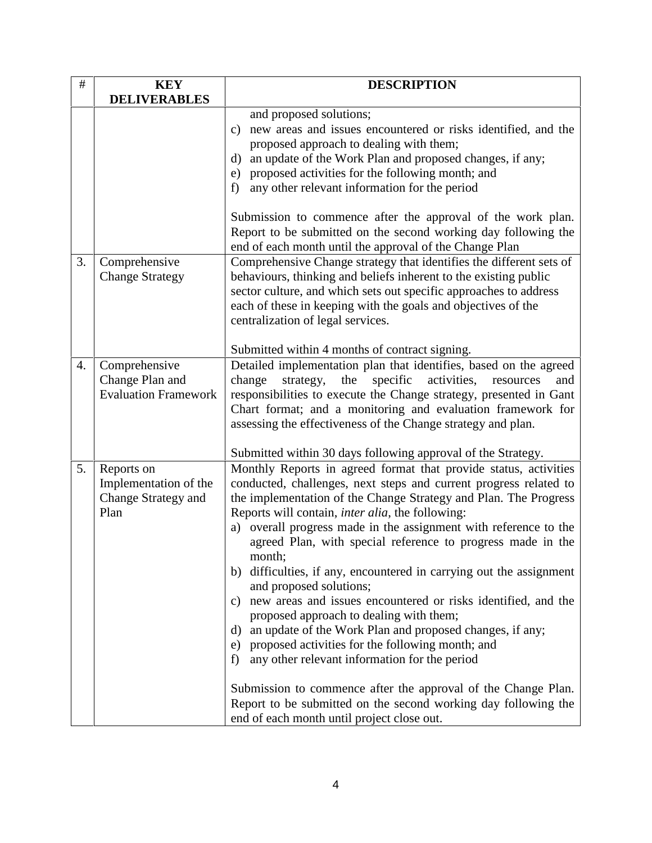| $\#$ | <b>KEY</b>                                                         | <b>DESCRIPTION</b>                                                                                                                                                                                                                                                                                                                                                                                                                                                                                                                                                                                                                                                                                                                                                                                                                                                                                                                                                                                         |
|------|--------------------------------------------------------------------|------------------------------------------------------------------------------------------------------------------------------------------------------------------------------------------------------------------------------------------------------------------------------------------------------------------------------------------------------------------------------------------------------------------------------------------------------------------------------------------------------------------------------------------------------------------------------------------------------------------------------------------------------------------------------------------------------------------------------------------------------------------------------------------------------------------------------------------------------------------------------------------------------------------------------------------------------------------------------------------------------------|
|      | <b>DELIVERABLES</b>                                                |                                                                                                                                                                                                                                                                                                                                                                                                                                                                                                                                                                                                                                                                                                                                                                                                                                                                                                                                                                                                            |
|      |                                                                    | and proposed solutions;<br>new areas and issues encountered or risks identified, and the<br>c)<br>proposed approach to dealing with them;<br>an update of the Work Plan and proposed changes, if any;<br>$\rm d$<br>proposed activities for the following month; and<br>e)<br>any other relevant information for the period<br>f)                                                                                                                                                                                                                                                                                                                                                                                                                                                                                                                                                                                                                                                                          |
|      |                                                                    | Submission to commence after the approval of the work plan.<br>Report to be submitted on the second working day following the<br>end of each month until the approval of the Change Plan                                                                                                                                                                                                                                                                                                                                                                                                                                                                                                                                                                                                                                                                                                                                                                                                                   |
| 3.   | Comprehensive<br><b>Change Strategy</b>                            | Comprehensive Change strategy that identifies the different sets of<br>behaviours, thinking and beliefs inherent to the existing public<br>sector culture, and which sets out specific approaches to address<br>each of these in keeping with the goals and objectives of the<br>centralization of legal services.                                                                                                                                                                                                                                                                                                                                                                                                                                                                                                                                                                                                                                                                                         |
| 4.   | Comprehensive<br>Change Plan and<br><b>Evaluation Framework</b>    | Submitted within 4 months of contract signing.<br>Detailed implementation plan that identifies, based on the agreed<br>change<br>the<br>specific<br>activities,<br>strategy,<br>resources<br>and<br>responsibilities to execute the Change strategy, presented in Gant<br>Chart format; and a monitoring and evaluation framework for<br>assessing the effectiveness of the Change strategy and plan.<br>Submitted within 30 days following approval of the Strategy.                                                                                                                                                                                                                                                                                                                                                                                                                                                                                                                                      |
| 5.   | Reports on<br>Implementation of the<br>Change Strategy and<br>Plan | Monthly Reports in agreed format that provide status, activities<br>conducted, challenges, next steps and current progress related to<br>the implementation of the Change Strategy and Plan. The Progress<br>Reports will contain, <i>inter alia</i> , the following:<br>a) overall progress made in the assignment with reference to the<br>agreed Plan, with special reference to progress made in the<br>month;<br>b) difficulties, if any, encountered in carrying out the assignment<br>and proposed solutions;<br>new areas and issues encountered or risks identified, and the<br>C)<br>proposed approach to dealing with them;<br>an update of the Work Plan and proposed changes, if any;<br>d)<br>proposed activities for the following month; and<br>e)<br>any other relevant information for the period<br>f)<br>Submission to commence after the approval of the Change Plan.<br>Report to be submitted on the second working day following the<br>end of each month until project close out. |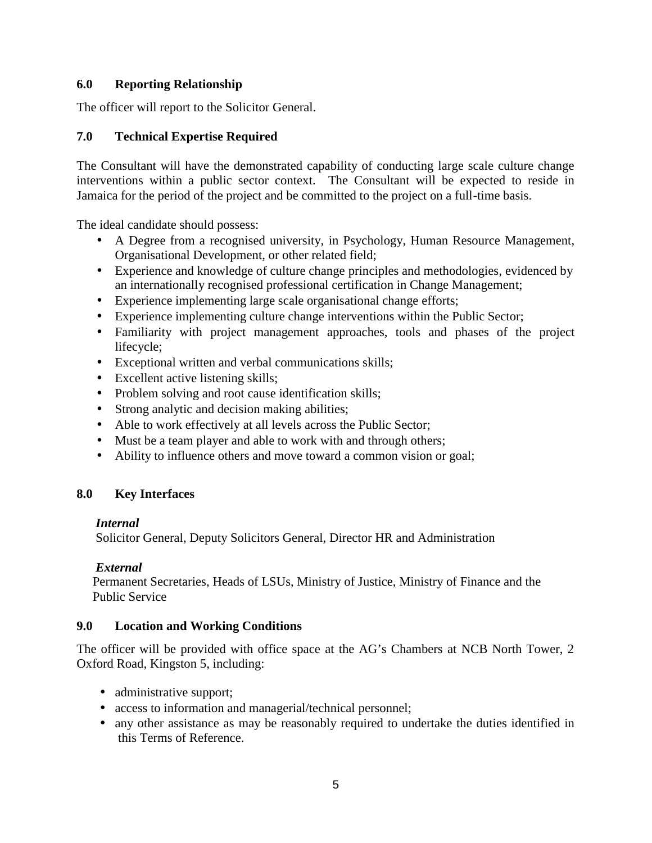#### **6.0 Reporting Relationship**

The officer will report to the Solicitor General.

## **7.0 Technical Expertise Required**

The Consultant will have the demonstrated capability of conducting large scale culture change interventions within a public sector context. The Consultant will be expected to reside in Jamaica for the period of the project and be committed to the project on a full-time basis.

The ideal candidate should possess:

- A Degree from a recognised university, in Psychology, Human Resource Management, Organisational Development, or other related field;
- Experience and knowledge of culture change principles and methodologies, evidenced by an internationally recognised professional certification in Change Management;
- Experience implementing large scale organisational change efforts;
- Experience implementing culture change interventions within the Public Sector;
- Familiarity with project management approaches, tools and phases of the project lifecycle;
- Exceptional written and verbal communications skills;
- Excellent active listening skills;
- Problem solving and root cause identification skills;
- Strong analytic and decision making abilities;
- Able to work effectively at all levels across the Public Sector;
- Must be a team player and able to work with and through others;
- Ability to influence others and move toward a common vision or goal;

#### **8.0 Key Interfaces**

#### *Internal*

Solicitor General, Deputy Solicitors General, Director HR and Administration

#### *External*

Permanent Secretaries, Heads of LSUs, Ministry of Justice, Ministry of Finance and the Public Service

#### **9.0 Location and Working Conditions**

The officer will be provided with office space at the AG's Chambers at NCB North Tower, 2 Oxford Road, Kingston 5, including:

- administrative support;
- access to information and managerial/technical personnel;
- any other assistance as may be reasonably required to undertake the duties identified in this Terms of Reference.